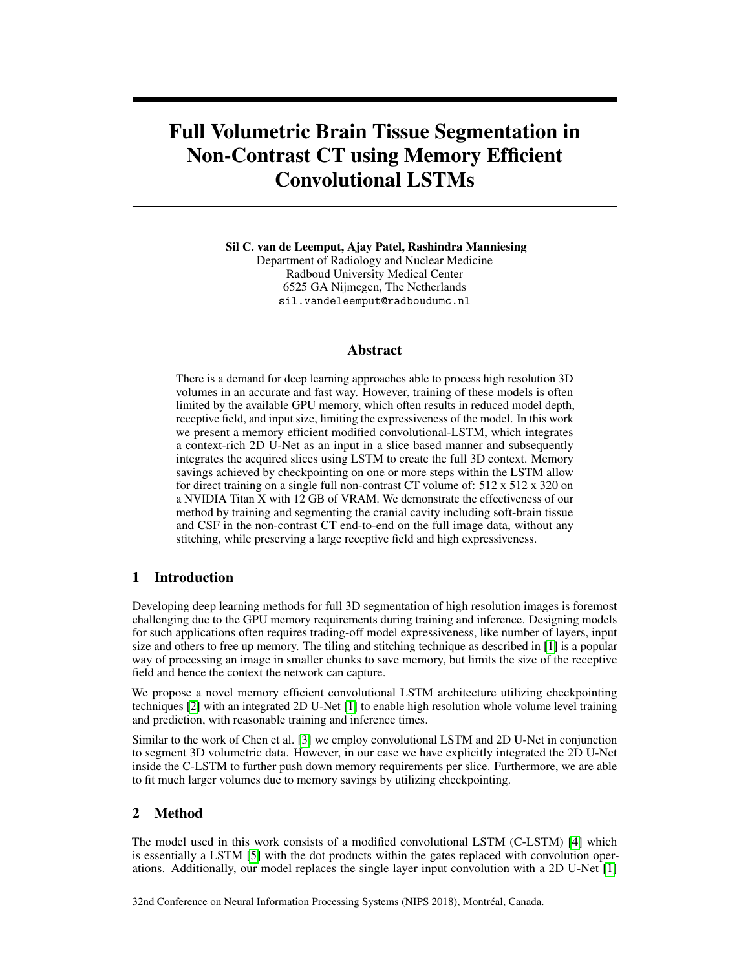# Full Volumetric Brain Tissue Segmentation in Non-Contrast CT using Memory Efficient Convolutional LSTMs

Sil C. van de Leemput, Ajay Patel, Rashindra Manniesing Department of Radiology and Nuclear Medicine Radboud University Medical Center 6525 GA Nijmegen, The Netherlands sil.vandeleemput@radboudumc.nl

## Abstract

There is a demand for deep learning approaches able to process high resolution 3D volumes in an accurate and fast way. However, training of these models is often limited by the available GPU memory, which often results in reduced model depth, receptive field, and input size, limiting the expressiveness of the model. In this work we present a memory efficient modified convolutional-LSTM, which integrates a context-rich 2D U-Net as an input in a slice based manner and subsequently integrates the acquired slices using LSTM to create the full 3D context. Memory savings achieved by checkpointing on one or more steps within the LSTM allow for direct training on a single full non-contrast CT volume of: 512 x 512 x 320 on a NVIDIA Titan X with 12 GB of VRAM. We demonstrate the effectiveness of our method by training and segmenting the cranial cavity including soft-brain tissue and CSF in the non-contrast CT end-to-end on the full image data, without any stitching, while preserving a large receptive field and high expressiveness.

## 1 Introduction

Developing deep learning methods for full 3D segmentation of high resolution images is foremost challenging due to the GPU memory requirements during training and inference. Designing models for such applications often requires trading-off model expressiveness, like number of layers, input size and others to free up memory. The tiling and stitching technique as described in [\[1\]](#page-3-0) is a popular way of processing an image in smaller chunks to save memory, but limits the size of the receptive field and hence the context the network can capture.

We propose a novel memory efficient convolutional LSTM architecture utilizing checkpointing techniques [\[2\]](#page-3-1) with an integrated 2D U-Net [\[1\]](#page-3-0) to enable high resolution whole volume level training and prediction, with reasonable training and inference times.

Similar to the work of Chen et al. [\[3\]](#page-3-2) we employ convolutional LSTM and 2D U-Net in conjunction to segment 3D volumetric data. However, in our case we have explicitly integrated the 2D U-Net inside the C-LSTM to further push down memory requirements per slice. Furthermore, we are able to fit much larger volumes due to memory savings by utilizing checkpointing.

## 2 Method

The model used in this work consists of a modified convolutional LSTM (C-LSTM) [\[4\]](#page-3-3) which is essentially a LSTM [\[5\]](#page-3-4) with the dot products within the gates replaced with convolution operations. Additionally, our model replaces the single layer input convolution with a 2D U-Net [\[1\]](#page-3-0)

32nd Conference on Neural Information Processing Systems (NIPS 2018), Montréal, Canada.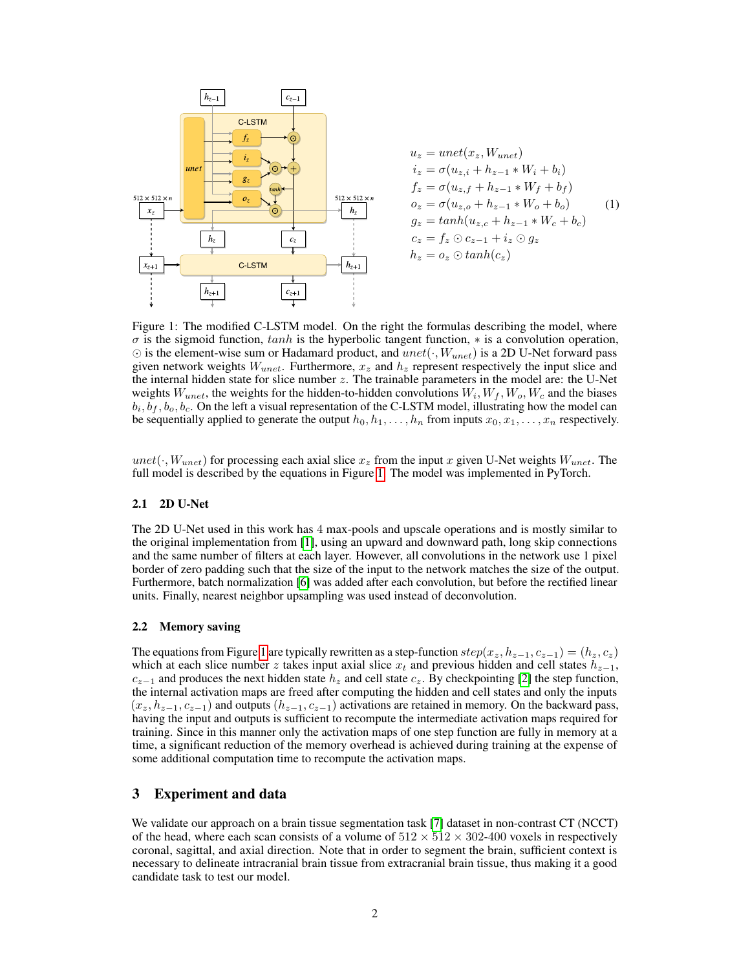

$$
u_z = unet(x_z, W_{unet})
$$
  
\n
$$
i_z = \sigma(u_{z,i} + h_{z-1} * W_i + b_i)
$$
  
\n
$$
f_z = \sigma(u_{z,f} + h_{z-1} * W_f + b_f)
$$
  
\n
$$
o_z = \sigma(u_{z,o} + h_{z-1} * W_o + b_o)
$$
  
\n
$$
g_z = tanh(u_{z,c} + h_{z-1} * W_c + b_c)
$$
  
\n
$$
c_z = f_z \odot c_{z-1} + i_z \odot g_z
$$
  
\n
$$
h_z = o_z \odot tanh(c_z)
$$

<span id="page-1-0"></span>Figure 1: The modified C-LSTM model. On the right the formulas describing the model, where  $\sigma$  is the sigmoid function, tanh is the hyperbolic tangent function,  $*$  is a convolution operation,  $\odot$  is the element-wise sum or Hadamard product, and  $unet(\cdot, W_{unet})$  is a 2D U-Net forward pass given network weights  $W_{unet}$ . Furthermore,  $x_z$  and  $h_z$  represent respectively the input slice and the internal hidden state for slice number  $z$ . The trainable parameters in the model are: the U-Net weights  $W_{unet}$ , the weights for the hidden-to-hidden convolutions  $W_i, W_f, W_o, W_c$  and the biases  $b_i, b_f, b_o, b_c$ . On the left a visual representation of the C-LSTM model, illustrating how the model can be sequentially applied to generate the output  $h_0, h_1, \ldots, h_n$  from inputs  $x_0, x_1, \ldots, x_n$  respectively.

unet( $\cdot$ ,  $W_{unet}$ ) for processing each axial slice  $x_z$  from the input x given U-Net weights  $W_{unet}$ . The full model is described by the equations in Figure [1.](#page-1-0) The model was implemented in PyTorch.

#### 2.1 2D U-Net

The 2D U-Net used in this work has 4 max-pools and upscale operations and is mostly similar to the original implementation from [\[1\]](#page-3-0), using an upward and downward path, long skip connections and the same number of filters at each layer. However, all convolutions in the network use 1 pixel border of zero padding such that the size of the input to the network matches the size of the output. Furthermore, batch normalization [\[6\]](#page-3-5) was added after each convolution, but before the rectified linear units. Finally, nearest neighbor upsampling was used instead of deconvolution.

#### 2.2 Memory saving

The equations from Figure [1](#page-1-0) are typically rewritten as a step-function  $step(x_z, h_{z-1}, c_{z-1}) = (h_z, c_z)$ which at each slice number z takes input axial slice  $x_t$  and previous hidden and cell states  $h_{z-1}$ ,  $c_{z-1}$  and produces the next hidden state  $h_z$  and cell state  $c_z$ . By checkpointing [\[2\]](#page-3-1) the step function, the internal activation maps are freed after computing the hidden and cell states and only the inputs  $(x_z, h_{z-1}, c_{z-1})$  and outputs  $(h_{z-1}, c_{z-1})$  activations are retained in memory. On the backward pass, having the input and outputs is sufficient to recompute the intermediate activation maps required for training. Since in this manner only the activation maps of one step function are fully in memory at a time, a significant reduction of the memory overhead is achieved during training at the expense of some additional computation time to recompute the activation maps.

#### 3 Experiment and data

We validate our approach on a brain tissue segmentation task [\[7\]](#page-3-6) dataset in non-contrast CT (NCCT) of the head, where each scan consists of a volume of  $512 \times 512 \times 302-400$  voxels in respectively coronal, sagittal, and axial direction. Note that in order to segment the brain, sufficient context is necessary to delineate intracranial brain tissue from extracranial brain tissue, thus making it a good candidate task to test our model.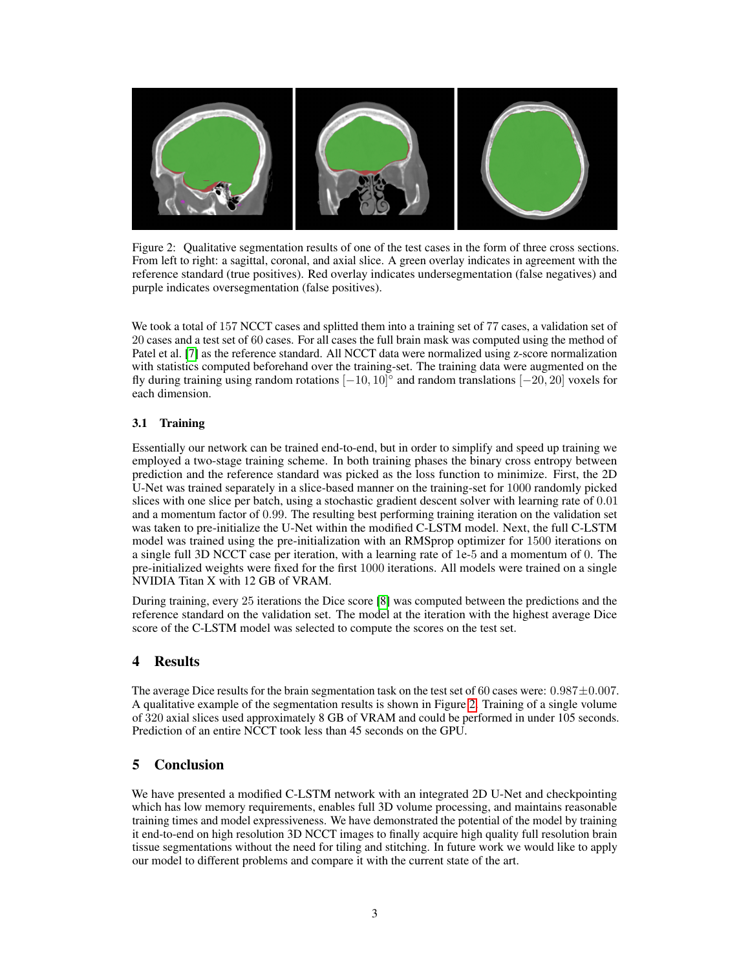

<span id="page-2-0"></span>Figure 2: Qualitative segmentation results of one of the test cases in the form of three cross sections. From left to right: a sagittal, coronal, and axial slice. A green overlay indicates in agreement with the reference standard (true positives). Red overlay indicates undersegmentation (false negatives) and purple indicates oversegmentation (false positives).

We took a total of 157 NCCT cases and splitted them into a training set of 77 cases, a validation set of 20 cases and a test set of 60 cases. For all cases the full brain mask was computed using the method of Patel et al. [\[7\]](#page-3-6) as the reference standard. All NCCT data were normalized using z-score normalization with statistics computed beforehand over the training-set. The training data were augmented on the fly during training using random rotations  $[-10, 10]^\circ$  and random translations  $[-20, 20]$  voxels for each dimension.

## 3.1 Training

Essentially our network can be trained end-to-end, but in order to simplify and speed up training we employed a two-stage training scheme. In both training phases the binary cross entropy between prediction and the reference standard was picked as the loss function to minimize. First, the 2D U-Net was trained separately in a slice-based manner on the training-set for 1000 randomly picked slices with one slice per batch, using a stochastic gradient descent solver with learning rate of 0.01 and a momentum factor of 0.99. The resulting best performing training iteration on the validation set was taken to pre-initialize the U-Net within the modified C-LSTM model. Next, the full C-LSTM model was trained using the pre-initialization with an RMSprop optimizer for 1500 iterations on a single full 3D NCCT case per iteration, with a learning rate of 1e-5 and a momentum of 0. The pre-initialized weights were fixed for the first 1000 iterations. All models were trained on a single NVIDIA Titan X with 12 GB of VRAM.

During training, every 25 iterations the Dice score [\[8\]](#page-3-7) was computed between the predictions and the reference standard on the validation set. The model at the iteration with the highest average Dice score of the C-LSTM model was selected to compute the scores on the test set.

## 4 Results

The average Dice results for the brain segmentation task on the test set of 60 cases were:  $0.987 \pm 0.007$ . A qualitative example of the segmentation results is shown in Figure [2.](#page-2-0) Training of a single volume of 320 axial slices used approximately 8 GB of VRAM and could be performed in under 105 seconds. Prediction of an entire NCCT took less than 45 seconds on the GPU.

## 5 Conclusion

We have presented a modified C-LSTM network with an integrated 2D U-Net and checkpointing which has low memory requirements, enables full 3D volume processing, and maintains reasonable training times and model expressiveness. We have demonstrated the potential of the model by training it end-to-end on high resolution 3D NCCT images to finally acquire high quality full resolution brain tissue segmentations without the need for tiling and stitching. In future work we would like to apply our model to different problems and compare it with the current state of the art.